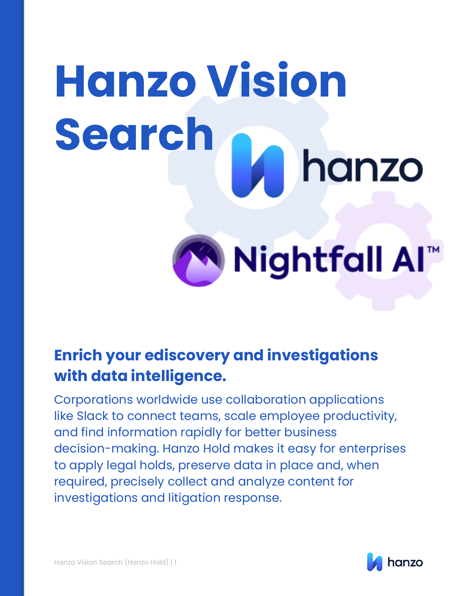# **Hanzo Vision Search** hanzo

**Nightfall Al** 

## **Enrich your ediscovery and investigations with data intelligence.**

Corporations worldwide use collaboration applications like Slack to connect teams, scale employee productivity, and find information rapidly for better business decision-making. Hanzo Hold makes it easy for enterprises to apply legal holds, preserve data in place and, when required, precisely collect and analyze content for investigations and litigation response.

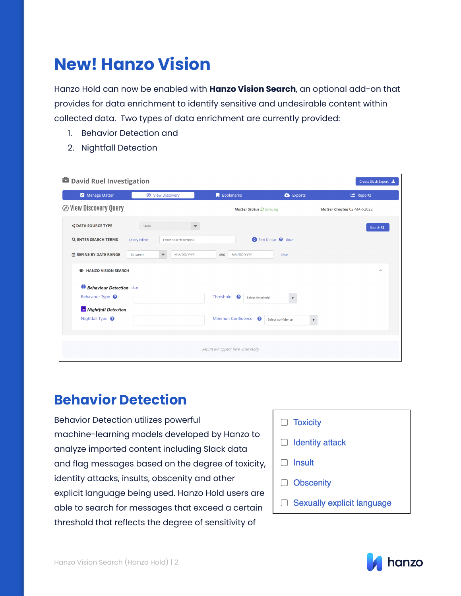## **New! Hanzo Vision**

Hanzo Hold can now be enabled with **Hanzo Vision Search**, an optional add-on that provides for data enrichment to identify sensitive and undesirable content within collected data. Two types of data enrichment are currently provided:

- 1. Behavior Detection and
- 2. Nightfall Detection

| <b>■</b> David Ruel Investigation |                                                  |                                     |                                                | Create Slack Export        |
|-----------------------------------|--------------------------------------------------|-------------------------------------|------------------------------------------------|----------------------------|
| Manage Matter                     | <b>O</b> View Discovery                          | <b>Bookmarks</b>                    | <b>B</b> Exports                               | <b>쓰</b> Reports           |
| <b>⊘ View Discovery Query</b>     |                                                  | <b>Matter Status @ Syncing</b>      |                                                | Matter Created 02-MAR-2022 |
| <b>S DATA SOURCE TYPE</b>         | Slack                                            |                                     |                                                | Search Q                   |
| Q ENTER SEARCH TERMS              | Enter search term(s)<br><b>Query Editor</b>      |                                     | <b>O</b> Find Similar <b>@</b> clear           |                            |
| <b>茴 REFINE BY DATE RANGE</b>     | Between<br>MM/DD/YYYY<br>$\overline{\mathbf{v}}$ | MM/DD/YYYY<br>and                   | clear                                          |                            |
| <b>ED HANZO VISION SEARCH</b>     |                                                  |                                     |                                                | $\sim$                     |
| Behaviour Detection clear         |                                                  |                                     |                                                |                            |
| Behaviour Type <sup>8</sup>       |                                                  | Threshold<br>ℯ<br>Select threshold  | $\overline{\mathbf{v}}$                        |                            |
| Nightfall Detection               |                                                  |                                     |                                                |                            |
| Nightfall Type <sup>8</sup>       |                                                  | Minimun Confidence<br>ℯ             | Select confidence<br>$\boldsymbol{\mathrm{v}}$ |                            |
|                                   |                                                  |                                     |                                                |                            |
|                                   |                                                  | Results will appear here when ready |                                                |                            |

### **Behavior Detection**

Behavior Detection utilizes powerful machine-learning models developed by Hanzo to analyze imported content including Slack data and flag messages based on the degree of toxicity, identity attacks, insults, obscenity and other explicit language being used. Hanzo Hold users are able to search for messages that exceed a certain threshold that reflects the degree of sensitivity of

- $\Box$  Toxicity
- $\Box$  Identity attack
- $\Box$  Insult
- □ Obscenity
- □ Sexually explicit language

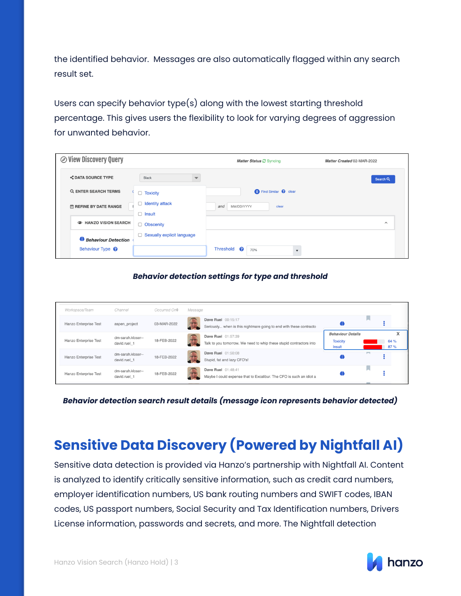the identified behavior. Messages are also automatically flagged within any search result set.

Users can specify behavior type(s) along with the lowest starting threshold percentage. This gives users the flexibility to look for varying degrees of aggression for unwanted behavior.

| <b>⊘ View Discovery Query</b>                      |                                         | Matter Status C Syncing              | Matter Created 02-MAR-2022 |
|----------------------------------------------------|-----------------------------------------|--------------------------------------|----------------------------|
| <b>S DATA SOURCE TYPE</b>                          | Slack                                   |                                      | Search Q                   |
| Q ENTER SEARCH TERMS                               | $\Box$ Toxicity                         | <b>O</b> Find Similar <b>@</b> clear |                            |
| <b>ED REFINE BY DATE RANGE</b>                     | <b>Identity attack</b><br>$\Box$ Insult | MM/DD/YYYY<br>clear<br>and           |                            |
| <b>EXAMPLE HANZO VISION SEARCH</b>                 | Obscenity                               |                                      | $\wedge$                   |
| Behaviour Detection<br>Behaviour Type <sup>?</sup> | $\Box$ Sexually explicit language       | Threshold<br>2<br>70%                |                            |

#### *Behavior detection settings for type and threshold*

| Workspace/Team        | Channel                           | Occurred On <sup>+</sup> | Message |                                                                                           |                                                              |                  |
|-----------------------|-----------------------------------|--------------------------|---------|-------------------------------------------------------------------------------------------|--------------------------------------------------------------|------------------|
| Hanzo Enterprise Test | aspen project                     | 03-MAR-2022              |         | Dave Ruel 00:15:17<br>Seriously when is this nightmare going to end with these contracto  |                                                              |                  |
| Hanzo Enterprise Test | dm-sarah.kloser--<br>david.ruel 1 | 18-FEB-2022              |         | Dave Ruel 01:57:39<br>Talk to you tomorrow. We need to whip these stupid contractors into | <b>Behaviour Details</b><br><b>Toxicity</b><br><b>Insult</b> | X<br>64 %<br>87% |
| Hanzo Enterprise Test | dm-sarah.kloser--<br>david.ruel 1 | 18-FEB-2022              |         | <b>Dave Ruel</b> 01:50:08<br>Stupid, fat and lazy CFO's!                                  |                                                              |                  |
| Hanzo Enterprise Test | dm-sarah.kloser--<br>david.ruel 1 | 18-FEB-2022              |         | Dave Ruel 01:48:41<br>Maybe I could expense that to Excalibur. The CFO is such an idiot a |                                                              |                  |

*Behavior detection search result details (message icon represents behavior detected)*

## **Sensitive Data Discovery (Powered by Nightfall AI)**

Sensitive data detection is provided via Hanzo's partnership with Nightfall AI. Content is analyzed to identify critically sensitive information, such as credit card numbers, employer identification numbers, US bank routing numbers and SWIFT codes, IBAN codes, US passport numbers, Social Security and Tax Identification numbers, Drivers License information, passwords and secrets, and more. The Nightfall detection

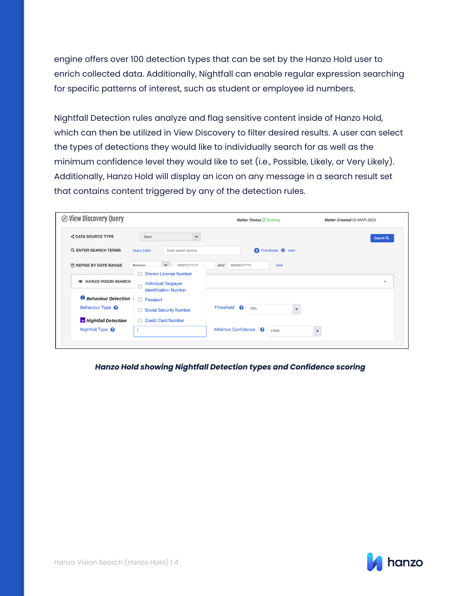engine offers over 100 detection types that can be set by the Hanzo Hold user to enrich collected data. Additionally, Nightfall can enable regular expression searching for specific patterns of interest, such as student or employee id numbers.

Nightfall Detection rules analyze and flag sensitive content inside of Hanzo Hold, which can then be utilized in View Discovery to filter desired results. A user can select the types of detections they would like to individually search for as well as the minimum confidence level they would like to set (i.e., Possible, Likely, or Very Likely). Additionally, Hanzo Hold will display an icon on any message in a search result set that contains content triggered by any of the detection rules.

| <b>S DATA SOURCE TYPE</b>          | Slack                                                                                  |                                                                  | Search Q            |
|------------------------------------|----------------------------------------------------------------------------------------|------------------------------------------------------------------|---------------------|
| Q ENTER SEARCH TERMS               | <b>Query Editor</b><br>Enter search term(s)                                            | <b>O</b> Find Similar <b>@</b> clear                             |                     |
| <b>茴 REFINE BY DATE RANGE</b>      | MM/DD/YYYY<br>Between.                                                                 | MM/DD/YYYY<br>and<br>clear                                       |                     |
| <b>EXAMPLE HANZO VISION SEARCH</b> | □ Drivers License Number<br><b>Individual Taxpayer</b><br><b>Identification Number</b> |                                                                  | $\hat{\phantom{a}}$ |
| Behaviour Detection                | □ Passport                                                                             |                                                                  |                     |
| Behaviour Type <sup>?</sup>        | □ Social Security Number                                                               | Threshold<br>ଵ<br>70%<br>▼                                       |                     |
| Nightfall Detection                | □ Credit Card Number                                                                   |                                                                  |                     |
| Nightfall Type <sup>?</sup>        |                                                                                        | <b>Minimun Confidence</b><br>ℯ<br>Likely<br>$\blacktriangledown$ |                     |

*Hanzo Hold showing Nightfall Detection types and Confidence scoring*